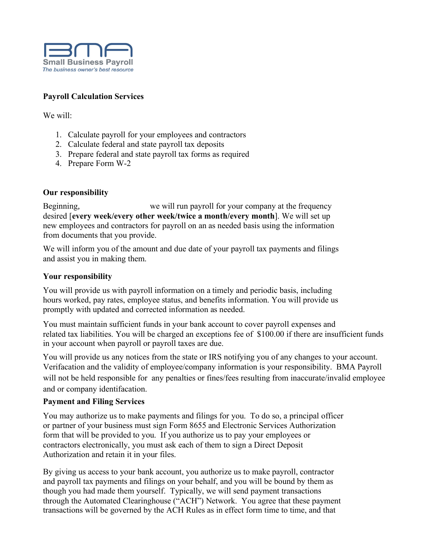

### **Payroll Calculation Services**

We will:

- 1. Calculate payroll for your employees and contractors
- 2. Calculate federal and state payroll tax deposits
- 3. Prepare federal and state payroll tax forms as required
- 4. Prepare Form W-2

### **Our responsibility**

Beginning,we will run payroll for your company at the frequency desired [**every week/every other week/twice a month/every month**]. We will set up new employees and contractors for payroll on an as needed basis using the information from documents that you provide.

We will inform you of the amount and due date of your payroll tax payments and filings and assist you in making them.

### **Your responsibility**

You will provide us with payroll information on a timely and periodic basis, including hours worked, pay rates, employee status, and benefits information. You will provide us promptly with updated and corrected information as needed.

You must maintain sufficient funds in your bank account to cover payroll expenses and related tax liabilities. You will be charged an exceptions fee of \$100.00 if there are insufficient funds in your account when payroll or payroll taxes are due.

Verifacation and the validity of employee/company information is your responsibility. BMA Payroll will not be held responsible for any penalties or fines/fees resulting from inaccurate/invalid employee and or company identifacation. You will provide us any notices from the state or IRS notifying you of any changes to your account.

### **Payment and Filing Services**

You may authorize us to make payments and filings for you. To do so, a principal officer or partner of your business must sign Form 8655 and Electronic Services Authorization form that will be provided to you. If you authorize us to pay your employees or contractors electronically, you must ask each of them to sign a Direct Deposit Authorization and retain it in your files.

By giving us access to your bank account, you authorize us to make payroll, contractor and payroll tax payments and filings on your behalf, and you will be bound by them as though you had made them yourself. Typically, we will send payment transactions through the Automated Clearinghouse ("ACH") Network. You agree that these payment transactions will be governed by the ACH Rules as in effect form time to time, and that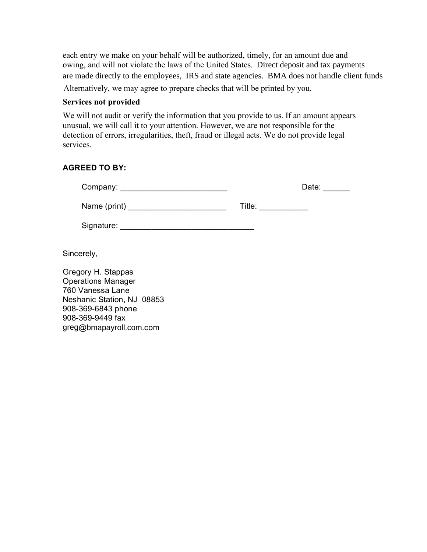each entry we make on your behalf will be authorized, timely, for an amount due and owing, and will not violate the laws of the United States. Direct deposit and tax payments are made directly to the employees, IRS and state agencies. BMA does not handle client funds

Alternatively, we may agree to prepare checks that will be printed by you.

### **Services not provided**

We will not audit or verify the information that you provide to us. If an amount appears unusual, we will call it to your attention. However, we are not responsible for the detection of errors, irregularities, theft, fraud or illegal acts. We do not provide legal services.

### **AGREED TO BY:**

| Company: _________________ |        | Date: |
|----------------------------|--------|-------|
| Name (print)               | Title: |       |
| Signature:                 |        |       |

Sincerely,

Gregory H. Stappas Operations Manager 760 Vanessa Lane Neshanic Station, NJ 08853 908-369-6843 phone 908-369-9449 fax greg@bmapayroll.com.com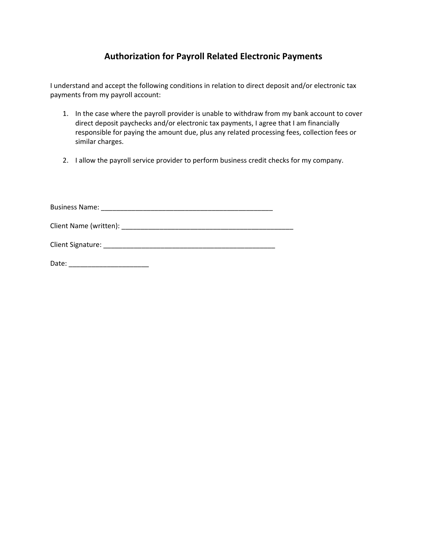### **Authorization for Payroll Related Electronic Payments**

I understand and accept the following conditions in relation to direct deposit and/or electronic tax payments from my payroll account:

- 1. In the case where the payroll provider is unable to withdraw from my bank account to cover direct deposit paychecks and/or electronic tax payments, I agree that I am financially responsible for paying the amount due, plus any related processing fees, collection fees or similar charges.
- 2. I allow the payroll service provider to perform business credit checks for my company.

Business Name: \_\_\_\_\_\_\_\_\_\_\_\_\_\_\_\_\_\_\_\_\_\_\_\_\_\_\_\_\_\_\_\_\_\_\_\_\_\_\_\_\_\_\_\_\_

Client Name (written): \_\_\_\_\_\_\_\_\_\_\_\_\_\_\_\_\_\_\_\_\_\_\_\_\_\_\_\_\_\_\_\_\_\_\_\_\_\_\_\_\_\_\_\_\_

Client Signature: \_\_\_\_\_\_\_\_\_\_\_\_\_\_\_\_\_\_\_\_\_\_\_\_\_\_\_\_\_\_\_\_\_\_\_\_\_\_\_\_\_\_\_\_\_

Date: \_\_\_\_\_\_\_\_\_\_\_\_\_\_\_\_\_\_\_\_\_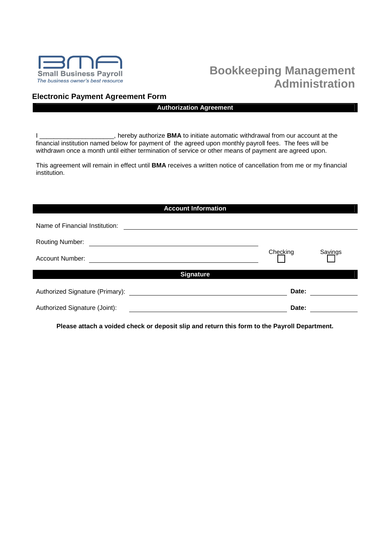

# **Bookkeeping Management Administration**

### **Electronic Payment Agreement Form**

#### **Authorization Agreement**

I \_\_\_\_\_\_\_\_\_\_\_\_\_\_\_\_\_\_\_\_\_, hereby authorize **BMA** to initiate automatic withdrawal from our account at the financial institution named below for payment of the agreed upon monthly payroll fees. The fees will be withdrawn once a month until either termination of service or other means of payment are agreed upon.

This agreement will remain in effect until **BMA** receives a written notice of cancellation from me or my financial institution.

| <b>Account Information</b>      |          |         |
|---------------------------------|----------|---------|
| Name of Financial Institution:  |          |         |
| <b>Routing Number:</b>          |          |         |
| Account Number:                 | Checking | Savings |
| <b>Signature</b>                |          |         |
| Authorized Signature (Primary): | Date:    |         |
| Authorized Signature (Joint):   | Date:    |         |

**Please attach a voided check or deposit slip and return this form to the Payroll Department.**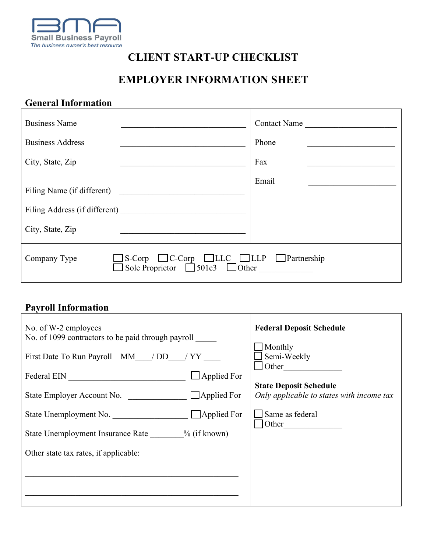

## **CLIENT START-UP CHECKLIST**

# **EMPLOYER INFORMATION SHEET**

## **General Information**

| <b>Business Name</b>                                                                              | <b>Contact Name</b> |
|---------------------------------------------------------------------------------------------------|---------------------|
| <b>Business Address</b>                                                                           | Phone               |
| City, State, Zip                                                                                  | Fax                 |
| Filing Name (if different)<br>City, State, Zip                                                    | Email               |
| S-Corp CC-Corp CLLC CLLP Partnership<br>Company Type<br>Sole Proprietor $\Box$ 501c3 $\Box$ Other |                     |

## **Payroll Information**

| <b>Payroll Intormation</b>                                                 |                                           |
|----------------------------------------------------------------------------|-------------------------------------------|
| No. of W-2 employees<br>No. of 1099 contractors to be paid through payroll | <b>Federal Deposit Schedule</b>           |
|                                                                            | $\Box$ Monthly                            |
| First Date To Run Payroll MM / DD / YY                                     | Semi-Weekly                               |
| $\Box$ Applied For                                                         | $\Box$ Other                              |
|                                                                            | <b>State Deposit Schedule</b>             |
|                                                                            | Only applicable to states with income tax |
| State Unemployment No. Applied For                                         | Same as federal<br>Other                  |
| State Unemployment Insurance Rate ________ % (if known)                    |                                           |
| Other state tax rates, if applicable:                                      |                                           |
|                                                                            |                                           |
|                                                                            |                                           |
|                                                                            |                                           |
|                                                                            |                                           |